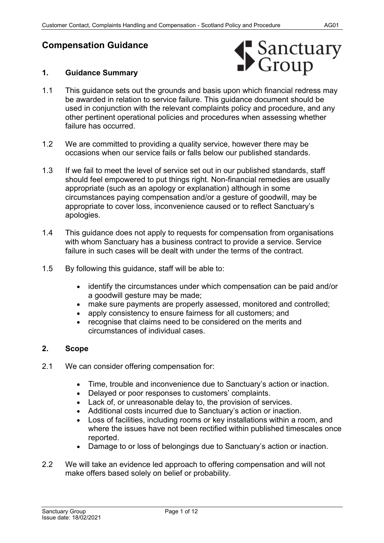# **Compensation Guidance**

## **1. Guidance Summary**



- 1.1 This guidance sets out the grounds and basis upon which financial redress may be awarded in relation to service failure. This guidance document should be used in conjunction with the relevant complaints policy and procedure, and any other pertinent operational policies and procedures when assessing whether failure has occurred.
- 1.2 We are committed to providing a quality service, however there may be occasions when our service fails or falls below our published standards.
- 1.3 If we fail to meet the level of service set out in our published standards, staff should feel empowered to put things right. Non-financial remedies are usually appropriate (such as an apology or explanation) although in some circumstances paying compensation and/or a gesture of goodwill, may be appropriate to cover loss, inconvenience caused or to reflect Sanctuary's apologies.
- 1.4 This guidance does not apply to requests for compensation from organisations with whom Sanctuary has a business contract to provide a service. Service failure in such cases will be dealt with under the terms of the contract.
- 1.5 By following this guidance, staff will be able to:
	- identify the circumstances under which compensation can be paid and/or a goodwill gesture may be made;
	- make sure payments are properly assessed, monitored and controlled;
	- apply consistency to ensure fairness for all customers; and
	- recognise that claims need to be considered on the merits and circumstances of individual cases.

## **2. Scope**

- 2.1 We can consider offering compensation for:
	- Time, trouble and inconvenience due to Sanctuary's action or inaction.
	- Delayed or poor responses to customers' complaints.
	- Lack of, or unreasonable delay to, the provision of services.
	- Additional costs incurred due to Sanctuary's action or inaction.
	- Loss of facilities, including rooms or key installations within a room, and where the issues have not been rectified within published timescales once reported.
	- Damage to or loss of belongings due to Sanctuary's action or inaction.
- 2.2 We will take an evidence led approach to offering compensation and will not make offers based solely on belief or probability.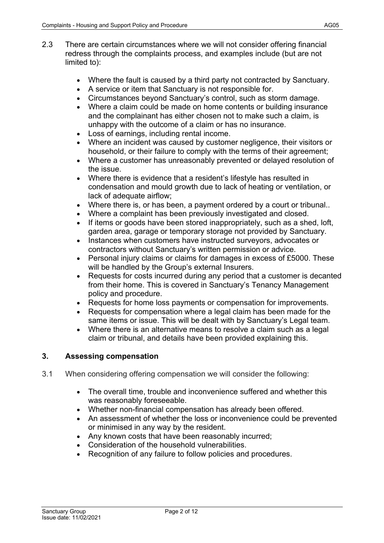- 2.3 There are certain circumstances where we will not consider offering financial redress through the complaints process, and examples include (but are not limited to):
	- Where the fault is caused by a third party not contracted by Sanctuary.
	- A service or item that Sanctuary is not responsible for.
	- Circumstances beyond Sanctuary's control, such as storm damage.
	- Where a claim could be made on home contents or building insurance and the complainant has either chosen not to make such a claim, is unhappy with the outcome of a claim or has no insurance.
	- Loss of earnings, including rental income.
	- Where an incident was caused by customer negligence, their visitors or household, or their failure to comply with the terms of their agreement;
	- Where a customer has unreasonably prevented or delayed resolution of the issue.
	- Where there is evidence that a resident's lifestyle has resulted in condensation and mould growth due to lack of heating or ventilation, or lack of adequate airflow;
	- Where there is, or has been, a payment ordered by a court or tribunal..
	- Where a complaint has been previously investigated and closed.
	- If items or goods have been stored inappropriately, such as a shed, loft, garden area, garage or temporary storage not provided by Sanctuary.
	- Instances when customers have instructed surveyors, advocates or contractors without Sanctuary's written permission or advice.
	- Personal injury claims or claims for damages in excess of £5000. These will be handled by the Group's external Insurers.
	- Requests for costs incurred during any period that a customer is decanted from their home. This is covered in Sanctuary's Tenancy Management policy and procedure.
	- Requests for home loss payments or compensation for improvements.
	- Requests for compensation where a legal claim has been made for the same items or issue. This will be dealt with by Sanctuary's Legal team.
	- Where there is an alternative means to resolve a claim such as a legal claim or tribunal, and details have been provided explaining this.

## **3. Assessing compensation**

- 3.1 When considering offering compensation we will consider the following:
	- The overall time, trouble and inconvenience suffered and whether this was reasonably foreseeable.
	- Whether non-financial compensation has already been offered.
	- An assessment of whether the loss or inconvenience could be prevented or minimised in any way by the resident.
	- Any known costs that have been reasonably incurred;
	- Consideration of the household vulnerabilities.
	- Recognition of any failure to follow policies and procedures.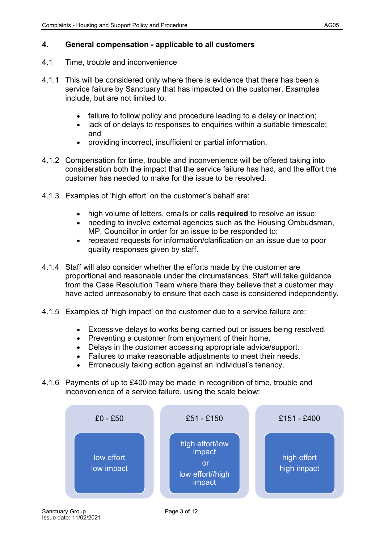## **4. General compensation - applicable to all customers**

- 4.1 Time, trouble and inconvenience
- 4.1.1 This will be considered only where there is evidence that there has been a service failure by Sanctuary that has impacted on the customer. Examples include, but are not limited to:
	- failure to follow policy and procedure leading to a delay or inaction;
	- lack of or delays to responses to enquiries within a suitable timescale; and
	- providing incorrect, insufficient or partial information.
- 4.1.2 Compensation for time, trouble and inconvenience will be offered taking into consideration both the impact that the service failure has had, and the effort the customer has needed to make for the issue to be resolved.
- 4.1.3 Examples of 'high effort' on the customer's behalf are:
	- high volume of letters, emails or calls **required** to resolve an issue;
	- needing to involve external agencies such as the Housing Ombudsman, MP, Councillor in order for an issue to be responded to;
	- repeated requests for information/clarification on an issue due to poor quality responses given by staff.
- 4.1.4 Staff will also consider whether the efforts made by the customer are proportional and reasonable under the circumstances. Staff will take guidance from the Case Resolution Team where there they believe that a customer may have acted unreasonably to ensure that each case is considered independently.
- 4.1.5 Examples of 'high impact' on the customer due to a service failure are:
	- Excessive delays to works being carried out or issues being resolved.
	- Preventing a customer from enjoyment of their home.
	- Delays in the customer accessing appropriate advice/support.
	- Failures to make reasonable adjustments to meet their needs.
	- Erroneously taking action against an individual's tenancy.
- 4.1.6 Payments of up to £400 may be made in recognition of time, trouble and inconvenience of a service failure, using the scale below:

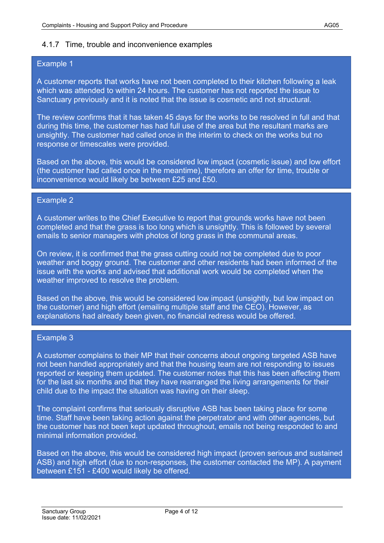## 4.1.7 Time, trouble and inconvenience examples

## Example 1

A customer reports that works have not been completed to their kitchen following a leak which was attended to within 24 hours. The customer has not reported the issue to Sanctuary previously and it is noted that the issue is cosmetic and not structural.

The review confirms that it has taken 45 days for the works to be resolved in full and that during this time, the customer has had full use of the area but the resultant marks are unsightly. The customer had called once in the interim to check on the works but no response or timescales were provided.

Based on the above, this would be considered low impact (cosmetic issue) and low effort (the customer had called once in the meantime), therefore an offer for time, trouble or inconvenience would likely be between £25 and £50.

## Example 2

A customer writes to the Chief Executive to report that grounds works have not been completed and that the grass is too long which is unsightly. This is followed by several emails to senior managers with photos of long grass in the communal areas.

On review, it is confirmed that the grass cutting could not be completed due to poor weather and boggy ground. The customer and other residents had been informed of the issue with the works and advised that additional work would be completed when the weather improved to resolve the problem.

Based on the above, this would be considered low impact (unsightly, but low impact on the customer) and high effort (emailing multiple staff and the CEO). However, as explanations had already been given, no financial redress would be offered.

## Example 3

A customer complains to their MP that their concerns about ongoing targeted ASB have not been handled appropriately and that the housing team are not responding to issues reported or keeping them updated. The customer notes that this has been affecting them for the last six months and that they have rearranged the living arrangements for their child due to the impact the situation was having on their sleep.

The complaint confirms that seriously disruptive ASB has been taking place for some time. Staff have been taking action against the perpetrator and with other agencies, but the customer has not been kept updated throughout, emails not being responded to and minimal information provided.

Based on the above, this would be considered high impact (proven serious and sustained ASB) and high effort (due to non-responses, the customer contacted the MP). A payment between £151 - £400 would likely be offered.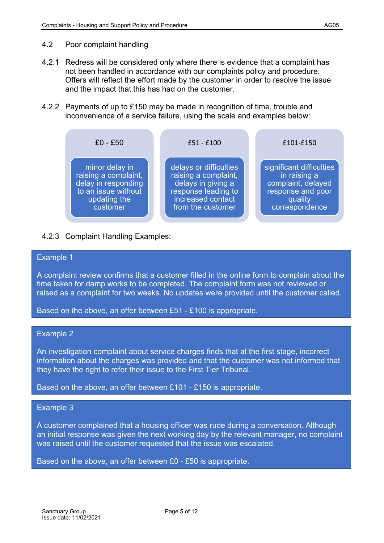#### 4.2 Poor complaint handling

- 4.2.1 Redress will be considered only where there is evidence that a complaint has not been handled in accordance with our complaints policy and procedure. Offers will reflect the effort made by the customer in order to resolve the issue and the impact that this has had on the customer.
- 4.2.2 Payments of up to £150 may be made in recognition of time, trouble and inconvenience of a service failure, using the scale and examples below:



## 4.2.3 Complaint Handling Examples:

#### Example 1

A complaint review confirms that a customer filled in the online form to complain about the time taken for damp works to be completed. The complaint form was not reviewed or raised as a complaint for two weeks. No updates were provided until the customer called.

Based on the above, an offer between £51 - £100 is appropriate.

#### Example 2

An investigation complaint about service charges finds that at the first stage, incorrect information about the charges was provided and that the customer was not informed that they have the right to refer their issue to the First Tier Tribunal.

Based on the above, an offer between £101 - £150 is appropriate.

#### Example 3

A customer complained that a housing officer was rude during a conversation. Although an initial response was given the next working day by the relevant manager, no complaint was raised until the customer requested that the issue was escalated.

Based on the above, an offer between £0 - £50 is appropriate.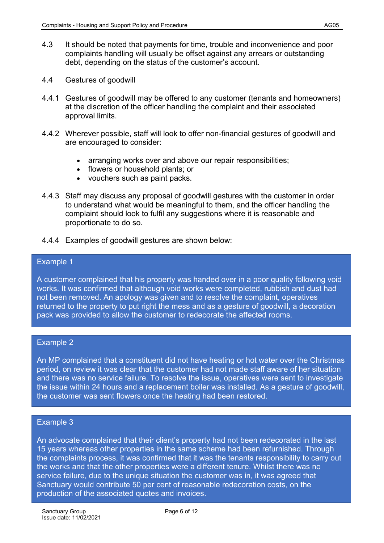- 4.3 It should be noted that payments for time, trouble and inconvenience and poor complaints handling will usually be offset against any arrears or outstanding debt, depending on the status of the customer's account.
- 4.4 Gestures of goodwill
- 4.4.1 Gestures of goodwill may be offered to any customer (tenants and homeowners) at the discretion of the officer handling the complaint and their associated approval limits.
- 4.4.2 Wherever possible, staff will look to offer non-financial gestures of goodwill and are encouraged to consider:
	- arranging works over and above our repair responsibilities;
	- flowers or household plants; or
	- vouchers such as paint packs.
- 4.4.3 Staff may discuss any proposal of goodwill gestures with the customer in order to understand what would be meaningful to them, and the officer handling the complaint should look to fulfil any suggestions where it is reasonable and proportionate to do so.
- 4.4.4 Examples of goodwill gestures are shown below:

#### Example 1

A customer complained that his property was handed over in a poor quality following void works. It was confirmed that although void works were completed, rubbish and dust had not been removed. An apology was given and to resolve the complaint, operatives returned to the property to put right the mess and as a gesture of goodwill, a decoration pack was provided to allow the customer to redecorate the affected rooms.

#### Example 2

An MP complained that a constituent did not have heating or hot water over the Christmas period, on review it was clear that the customer had not made staff aware of her situation and there was no service failure. To resolve the issue, operatives were sent to investigate the issue within 24 hours and a replacement boiler was installed. As a gesture of goodwill, the customer was sent flowers once the heating had been restored.

#### Example 3

An advocate complained that their client's property had not been redecorated in the last 15 years whereas other properties in the same scheme had been refurnished. Through the complaints process, it was confirmed that it was the tenants responsibility to carry out the works and that the other properties were a different tenure. Whilst there was no service failure, due to the unique situation the customer was in, it was agreed that Sanctuary would contribute 50 per cent of reasonable redecoration costs, on the production of the associated quotes and invoices.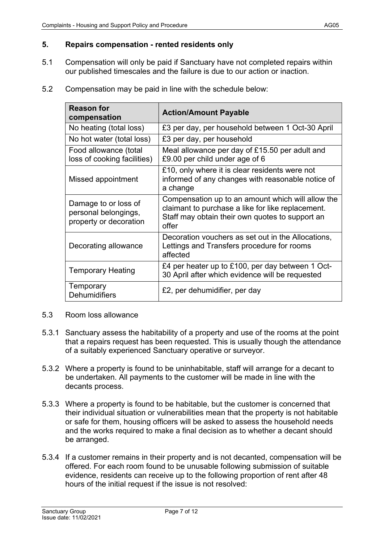## **5. Repairs compensation - rented residents only**

- 5.1 Compensation will only be paid if Sanctuary have not completed repairs within our published timescales and the failure is due to our action or inaction.
- 5.2 Compensation may be paid in line with the schedule below:

| <b>Reason for</b><br>compensation                                      | <b>Action/Amount Payable</b>                                                                                                                                       |  |
|------------------------------------------------------------------------|--------------------------------------------------------------------------------------------------------------------------------------------------------------------|--|
| No heating (total loss)                                                | £3 per day, per household between 1 Oct-30 April                                                                                                                   |  |
| No hot water (total loss)                                              | £3 per day, per household                                                                                                                                          |  |
| Food allowance (total<br>loss of cooking facilities)                   | Meal allowance per day of £15.50 per adult and<br>£9.00 per child under age of 6                                                                                   |  |
| Missed appointment                                                     | £10, only where it is clear residents were not<br>informed of any changes with reasonable notice of<br>a change                                                    |  |
| Damage to or loss of<br>personal belongings,<br>property or decoration | Compensation up to an amount which will allow the<br>claimant to purchase a like for like replacement.<br>Staff may obtain their own quotes to support an<br>offer |  |
| Decorating allowance                                                   | Decoration vouchers as set out in the Allocations,<br>Lettings and Transfers procedure for rooms<br>affected                                                       |  |
| <b>Temporary Heating</b>                                               | £4 per heater up to £100, per day between 1 Oct-<br>30 April after which evidence will be requested                                                                |  |
| Temporary<br><b>Dehumidifiers</b>                                      | £2, per dehumidifier, per day                                                                                                                                      |  |

- 5.3 Room loss allowance
- 5.3.1 Sanctuary assess the habitability of a property and use of the rooms at the point that a repairs request has been requested. This is usually though the attendance of a suitably experienced Sanctuary operative or surveyor.
- 5.3.2 Where a property is found to be uninhabitable, staff will arrange for a decant to be undertaken. All payments to the customer will be made in line with the decants process.
- 5.3.3 Where a property is found to be habitable, but the customer is concerned that their individual situation or vulnerabilities mean that the property is not habitable or safe for them, housing officers will be asked to assess the household needs and the works required to make a final decision as to whether a decant should be arranged.
- 5.3.4 If a customer remains in their property and is not decanted, compensation will be offered. For each room found to be unusable following submission of suitable evidence, residents can receive up to the following proportion of rent after 48 hours of the initial request if the issue is not resolved: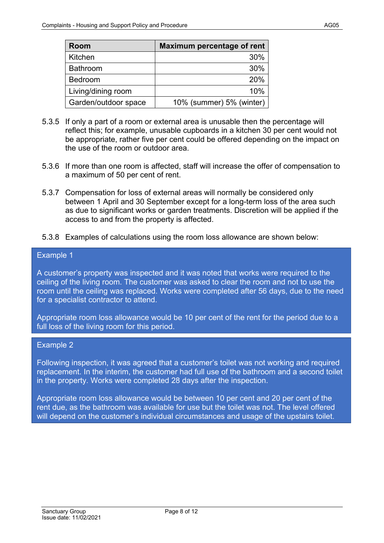- 5.3.5 If only a part of a room or external area is unusable then the percentage will reflect this; for example, unusable cupboards in a kitchen 30 per cent would not be appropriate, rather five per cent could be offered depending on the impact on the use of the room or outdoor area.
- 5.3.6 If more than one room is affected, staff will increase the offer of compensation to a maximum of 50 per cent of rent.
- 5.3.7 Compensation for loss of external areas will normally be considered only between 1 April and 30 September except for a long-term loss of the area such as due to significant works or garden treatments. Discretion will be applied if the access to and from the property is affected.
- 5.3.8 Examples of calculations using the room loss allowance are shown below:

## Example 1

A customer's property was inspected and it was noted that works were required to the ceiling of the living room. The customer was asked to clear the room and not to use the room until the ceiling was replaced. Works were completed after 56 days, due to the need for a specialist contractor to attend.

Appropriate room loss allowance would be 10 per cent of the rent for the period due to a full loss of the living room for this period.

#### Example 2

Following inspection, it was agreed that a customer's toilet was not working and required replacement. In the interim, the customer had full use of the bathroom and a second toilet in the property. Works were completed 28 days after the inspection.

Appropriate room loss allowance would be between 10 per cent and 20 per cent of the rent due, as the bathroom was available for use but the toilet was not. The level offered will depend on the customer's individual circumstances and usage of the upstairs toilet.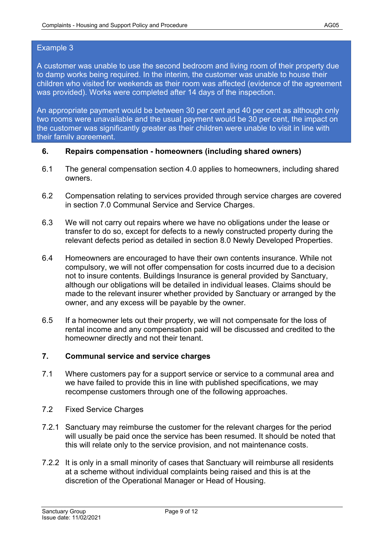## Example 3

A customer was unable to use the second bedroom and living room of their property due to damp works being required. In the interim, the customer was unable to house their children who visited for weekends as their room was affected (evidence of the agreement was provided). Works were completed after 14 days of the inspection.

An appropriate payment would be between 30 per cent and 40 per cent as although only two rooms were unavailable and the usual payment would be 30 per cent, the impact on the customer was significantly greater as their children were unable to visit in line with their family agreement.

## **6. Repairs compensation - homeowners (including shared owners)**

- 6.1 The general compensation section 4.0 applies to homeowners, including shared owners.
- 6.2 Compensation relating to services provided through service charges are covered in section 7.0 Communal Service and Service Charges.
- 6.3 We will not carry out repairs where we have no obligations under the lease or transfer to do so, except for defects to a newly constructed property during the relevant defects period as detailed in section 8.0 Newly Developed Properties.
- 6.4 Homeowners are encouraged to have their own contents insurance. While not compulsory, we will not offer compensation for costs incurred due to a decision not to insure contents. Buildings Insurance is general provided by Sanctuary, although our obligations will be detailed in individual leases. Claims should be made to the relevant insurer whether provided by Sanctuary or arranged by the owner, and any excess will be payable by the owner.
- 6.5 If a homeowner lets out their property, we will not compensate for the loss of rental income and any compensation paid will be discussed and credited to the homeowner directly and not their tenant.

## **7. Communal service and service charges**

- 7.1 Where customers pay for a support service or service to a communal area and we have failed to provide this in line with published specifications, we may recompense customers through one of the following approaches.
- 7.2 Fixed Service Charges
- 7.2.1 Sanctuary may reimburse the customer for the relevant charges for the period will usually be paid once the service has been resumed. It should be noted that this will relate only to the service provision, and not maintenance costs.
- 7.2.2 It is only in a small minority of cases that Sanctuary will reimburse all residents at a scheme without individual complaints being raised and this is at the discretion of the Operational Manager or Head of Housing.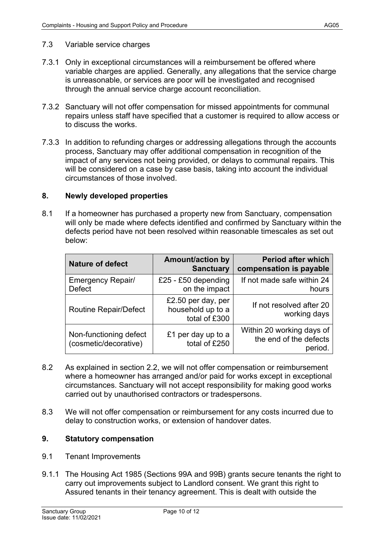## 7.3 Variable service charges

- 7.3.1 Only in exceptional circumstances will a reimbursement be offered where variable charges are applied. Generally, any allegations that the service charge is unreasonable, or services are poor will be investigated and recognised through the annual service charge account reconciliation.
- 7.3.2 Sanctuary will not offer compensation for missed appointments for communal repairs unless staff have specified that a customer is required to allow access or to discuss the works.
- 7.3.3 In addition to refunding charges or addressing allegations through the accounts process, Sanctuary may offer additional compensation in recognition of the impact of any services not being provided, or delays to communal repairs. This will be considered on a case by case basis, taking into account the individual circumstances of those involved.

## **8. Newly developed properties**

8.1 If a homeowner has purchased a property new from Sanctuary, compensation will only be made where defects identified and confirmed by Sanctuary within the defects period have not been resolved within reasonable timescales as set out below:

| <b>Nature of defect</b>                         | <b>Amount/action by</b><br><b>Sanctuary</b>              | <b>Period after which</b><br>compensation is payable           |
|-------------------------------------------------|----------------------------------------------------------|----------------------------------------------------------------|
| Emergency Repair/<br><b>Defect</b>              | £25 - £50 depending<br>on the impact                     | If not made safe within 24<br>hours                            |
| <b>Routine Repair/Defect</b>                    | £2.50 per day, per<br>household up to a<br>total of £300 | If not resolved after 20<br>working days                       |
| Non-functioning defect<br>(cosmetic/decorative) | £1 per day up to a<br>total of £250                      | Within 20 working days of<br>the end of the defects<br>period. |

- 8.2 As explained in section 2.2, we will not offer compensation or reimbursement where a homeowner has arranged and/or paid for works except in exceptional circumstances. Sanctuary will not accept responsibility for making good works carried out by unauthorised contractors or tradespersons.
- 8.3 We will not offer compensation or reimbursement for any costs incurred due to delay to construction works, or extension of handover dates.

## **9. Statutory compensation**

- 9.1 Tenant Improvements
- 9.1.1 The Housing Act 1985 (Sections 99A and 99B) grants secure tenants the right to carry out improvements subject to Landlord consent. We grant this right to Assured tenants in their tenancy agreement. This is dealt with outside the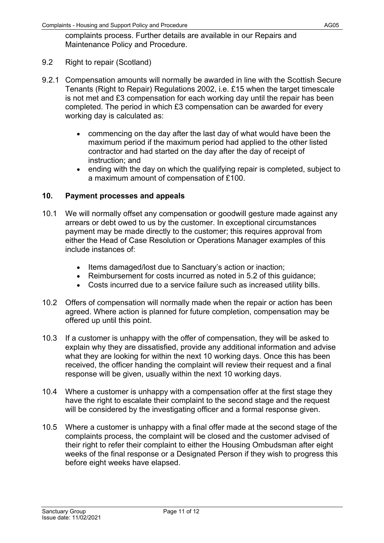complaints process. Further details are available in our Repairs and Maintenance Policy and Procedure.

- 9.2 Right to repair (Scotland)
- 9.2.1 Compensation amounts will normally be awarded in line with the Scottish Secure Tenants (Right to Repair) Regulations 2002, i.e. £15 when the target timescale is not met and £3 compensation for each working day until the repair has been completed. The period in which £3 compensation can be awarded for every working day is calculated as:
	- commencing on the day after the last day of what would have been the maximum period if the maximum period had applied to the other listed contractor and had started on the day after the day of receipt of instruction; and
	- ending with the day on which the qualifying repair is completed, subject to a maximum amount of compensation of £100.

## **10. Payment processes and appeals**

- 10.1 We will normally offset any compensation or goodwill gesture made against any arrears or debt owed to us by the customer. In exceptional circumstances payment may be made directly to the customer; this requires approval from either the Head of Case Resolution or Operations Manager examples of this include instances of:
	- Items damaged/lost due to Sanctuary's action or inaction;
	- Reimbursement for costs incurred as noted in 5.2 of this guidance;
	- Costs incurred due to a service failure such as increased utility bills.
- 10.2 Offers of compensation will normally made when the repair or action has been agreed. Where action is planned for future completion, compensation may be offered up until this point.
- 10.3 If a customer is unhappy with the offer of compensation, they will be asked to explain why they are dissatisfied, provide any additional information and advise what they are looking for within the next 10 working days. Once this has been received, the officer handing the complaint will review their request and a final response will be given, usually within the next 10 working days.
- 10.4 Where a customer is unhappy with a compensation offer at the first stage they have the right to escalate their complaint to the second stage and the request will be considered by the investigating officer and a formal response given.
- 10.5 Where a customer is unhappy with a final offer made at the second stage of the complaints process, the complaint will be closed and the customer advised of their right to refer their complaint to either the Housing Ombudsman after eight weeks of the final response or a Designated Person if they wish to progress this before eight weeks have elapsed.

Issue date: 11/02/2021